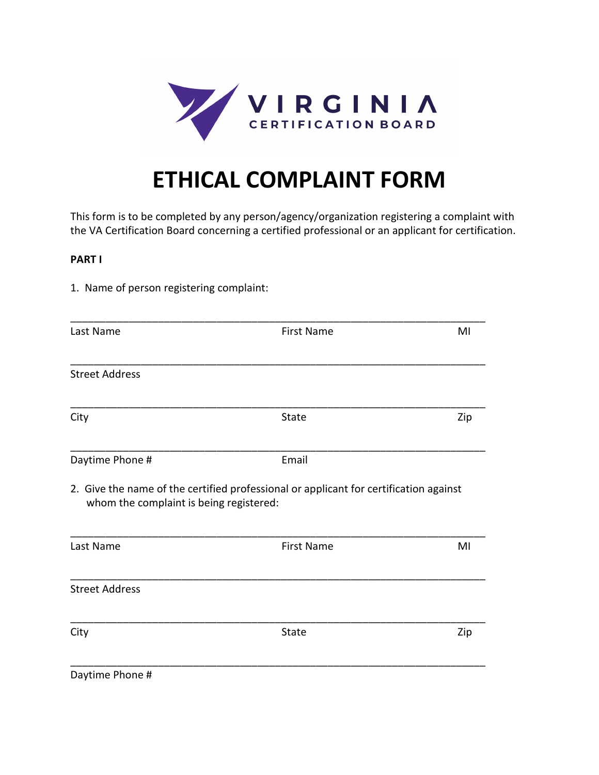

# **ETHICAL COMPLAINT FORM**

This form is to be completed by any person/agency/organization registering a complaint with the VA Certification Board concerning a certified professional or an applicant for certification.

### **PART I**

1. Name of person registering complaint:

| Last Name                               | <b>First Name</b>                                                                     | MI  |
|-----------------------------------------|---------------------------------------------------------------------------------------|-----|
|                                         |                                                                                       |     |
| <b>Street Address</b>                   |                                                                                       |     |
| City                                    | <b>State</b>                                                                          | Zip |
| Daytime Phone #                         | Email                                                                                 |     |
| whom the complaint is being registered: | 2. Give the name of the certified professional or applicant for certification against |     |
| Last Name                               | <b>First Name</b>                                                                     | MI  |
| <b>Street Address</b>                   |                                                                                       |     |
| City                                    | State                                                                                 | Zip |
| Daytime Phone #                         |                                                                                       |     |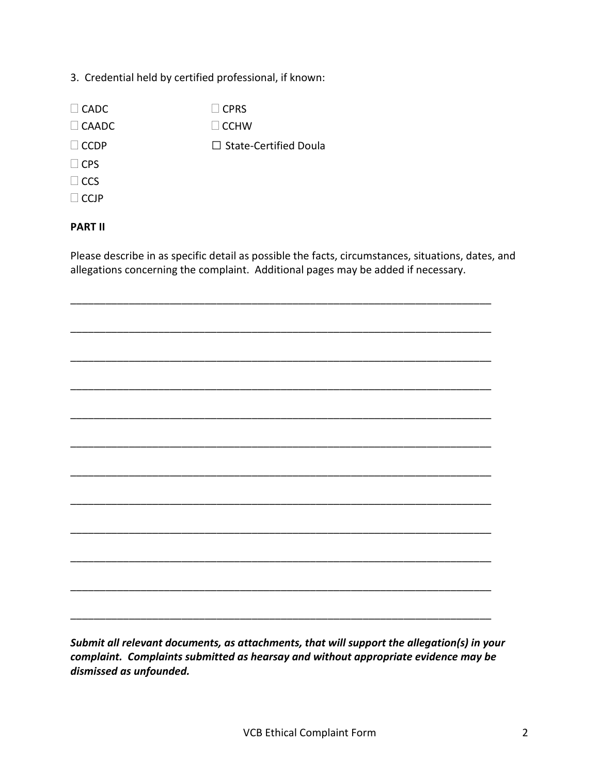# 3. Credential held by certified professional, if known:

 $\Box$  CADC  $\Box$  CPRS  $\Box$  CAADC  $\Box$  CCHW □ CCDP □ State-Certified Doula  $\Box$ CPS  $\Box$ CCS

# $\Box$ CCJP

# **PART II**

Please describe in as specific detail as possible the facts, circumstances, situations, dates, and allegations concerning the complaint. Additional pages may be added if necessary.

\_\_\_\_\_\_\_\_\_\_\_\_\_\_\_\_\_\_\_\_\_\_\_\_\_\_\_\_\_\_\_\_\_\_\_\_\_\_\_\_\_\_\_\_\_\_\_\_\_\_\_\_\_\_\_\_\_\_\_\_\_\_\_\_\_\_\_\_\_\_\_\_

\_\_\_\_\_\_\_\_\_\_\_\_\_\_\_\_\_\_\_\_\_\_\_\_\_\_\_\_\_\_\_\_\_\_\_\_\_\_\_\_\_\_\_\_\_\_\_\_\_\_\_\_\_\_\_\_\_\_\_\_\_\_\_\_\_\_\_\_\_\_\_\_

\_\_\_\_\_\_\_\_\_\_\_\_\_\_\_\_\_\_\_\_\_\_\_\_\_\_\_\_\_\_\_\_\_\_\_\_\_\_\_\_\_\_\_\_\_\_\_\_\_\_\_\_\_\_\_\_\_\_\_\_\_\_\_\_\_\_\_\_\_\_\_\_

\_\_\_\_\_\_\_\_\_\_\_\_\_\_\_\_\_\_\_\_\_\_\_\_\_\_\_\_\_\_\_\_\_\_\_\_\_\_\_\_\_\_\_\_\_\_\_\_\_\_\_\_\_\_\_\_\_\_\_\_\_\_\_\_\_\_\_\_\_\_\_\_

\_\_\_\_\_\_\_\_\_\_\_\_\_\_\_\_\_\_\_\_\_\_\_\_\_\_\_\_\_\_\_\_\_\_\_\_\_\_\_\_\_\_\_\_\_\_\_\_\_\_\_\_\_\_\_\_\_\_\_\_\_\_\_\_\_\_\_\_\_\_\_\_

\_\_\_\_\_\_\_\_\_\_\_\_\_\_\_\_\_\_\_\_\_\_\_\_\_\_\_\_\_\_\_\_\_\_\_\_\_\_\_\_\_\_\_\_\_\_\_\_\_\_\_\_\_\_\_\_\_\_\_\_\_\_\_\_\_\_\_\_\_\_\_\_

\_\_\_\_\_\_\_\_\_\_\_\_\_\_\_\_\_\_\_\_\_\_\_\_\_\_\_\_\_\_\_\_\_\_\_\_\_\_\_\_\_\_\_\_\_\_\_\_\_\_\_\_\_\_\_\_\_\_\_\_\_\_\_\_\_\_\_\_\_\_\_\_

\_\_\_\_\_\_\_\_\_\_\_\_\_\_\_\_\_\_\_\_\_\_\_\_\_\_\_\_\_\_\_\_\_\_\_\_\_\_\_\_\_\_\_\_\_\_\_\_\_\_\_\_\_\_\_\_\_\_\_\_\_\_\_\_\_\_\_\_\_\_\_\_

\_\_\_\_\_\_\_\_\_\_\_\_\_\_\_\_\_\_\_\_\_\_\_\_\_\_\_\_\_\_\_\_\_\_\_\_\_\_\_\_\_\_\_\_\_\_\_\_\_\_\_\_\_\_\_\_\_\_\_\_\_\_\_\_\_\_\_\_\_\_\_\_

\_\_\_\_\_\_\_\_\_\_\_\_\_\_\_\_\_\_\_\_\_\_\_\_\_\_\_\_\_\_\_\_\_\_\_\_\_\_\_\_\_\_\_\_\_\_\_\_\_\_\_\_\_\_\_\_\_\_\_\_\_\_\_\_\_\_\_\_\_\_\_\_

\_\_\_\_\_\_\_\_\_\_\_\_\_\_\_\_\_\_\_\_\_\_\_\_\_\_\_\_\_\_\_\_\_\_\_\_\_\_\_\_\_\_\_\_\_\_\_\_\_\_\_\_\_\_\_\_\_\_\_\_\_\_\_\_\_\_\_\_\_\_\_\_

\_\_\_\_\_\_\_\_\_\_\_\_\_\_\_\_\_\_\_\_\_\_\_\_\_\_\_\_\_\_\_\_\_\_\_\_\_\_\_\_\_\_\_\_\_\_\_\_\_\_\_\_\_\_\_\_\_\_\_\_\_\_\_\_\_\_\_\_\_\_\_\_

*Submit all relevant documents, as attachments, that will support the allegation(s) in your complaint. Complaints submitted as hearsay and without appropriate evidence may be dismissed as unfounded.*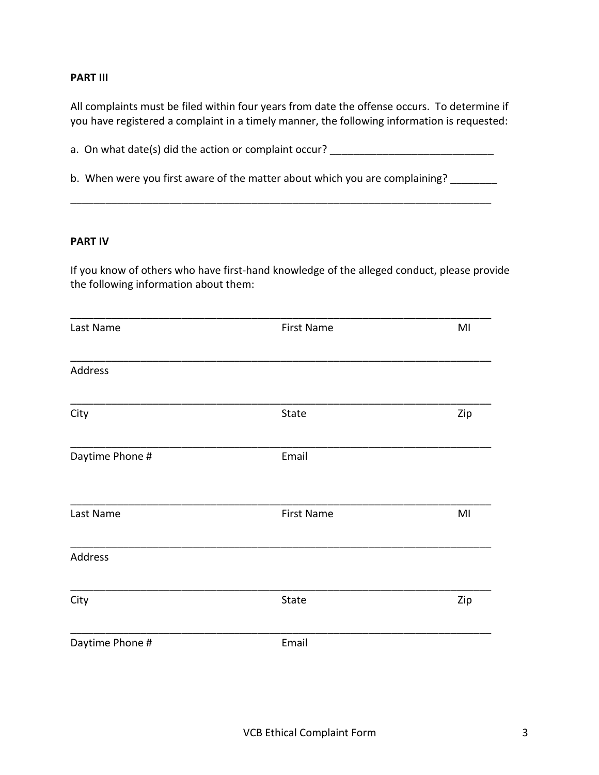### **PART III**

All complaints must be filed within four years from date the offense occurs. To determine if you have registered a complaint in a timely manner, the following information is requested:

a. On what date(s) did the action or complaint occur? \_\_\_\_\_\_\_\_\_\_\_\_\_\_\_\_\_\_\_\_\_\_\_\_\_\_\_

b. When were you first aware of the matter about which you are complaining? \_\_\_\_\_\_\_\_

\_\_\_\_\_\_\_\_\_\_\_\_\_\_\_\_\_\_\_\_\_\_\_\_\_\_\_\_\_\_\_\_\_\_\_\_\_\_\_\_\_\_\_\_\_\_\_\_\_\_\_\_\_\_\_\_\_\_\_\_\_\_\_\_\_\_\_\_\_\_\_\_

#### **PART IV**

If you know of others who have first-hand knowledge of the alleged conduct, please provide the following information about them:

| Last Name       | <b>First Name</b> | MI  |
|-----------------|-------------------|-----|
| Address         |                   |     |
| City            | State             | Zip |
| Daytime Phone # | Email             |     |
| Last Name       | <b>First Name</b> | MI  |
| Address         |                   |     |
| City            | State             | Zip |
| Daytime Phone # | Email             |     |
|                 |                   |     |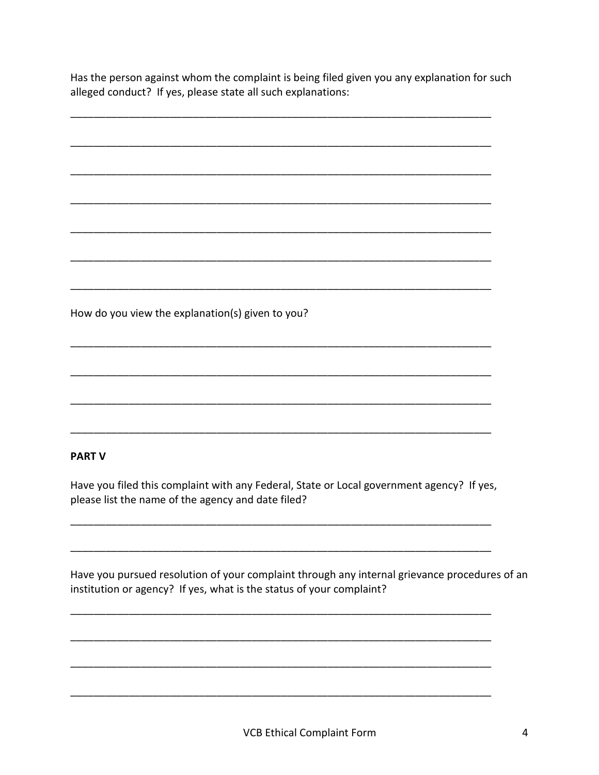Has the person against whom the complaint is being filed given you any explanation for such alleged conduct? If yes, please state all such explanations:

How do you view the explanation(s) given to you?

# **PART V**

Have you filed this complaint with any Federal, State or Local government agency? If yes, please list the name of the agency and date filed?

Have you pursued resolution of your complaint through any internal grievance procedures of an institution or agency? If yes, what is the status of your complaint?